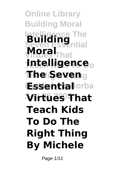**Online Library Building Moral Intelligence The Building Moral**<sub>That</sub> **Teach Kids To Do Intelligence The Right Thing The Seven Essential**orba **Sep 25 2002 Virtues That Teach Kids To Do The Right Thing By Michele**

Page 1/11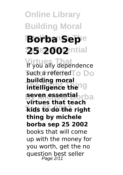## **Online Library Building Moral IBorba Sepe 25 2002** ntial

**Virtues That** If you ally dependence **Such a referred To Do Intelligence the seven essentiabrba Sep 25 2002 kids to do the right building moral virtues that teach thing by michele borba sep 25 2002** books that will come up with the money for you worth, get the no question best seller Page 2/11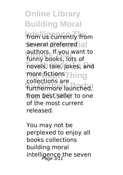**Online Library Building Moral** from us currently from several preferred all **Virtues That** funny books, lots of **hovels, tale, jokes, and** more fictions<sup>Thing</sup> turthermore launched, from best seller to one authors. If you want to collections are of the most current released.

You may not be perplexed to enjoy all books collections building moral intelligence the seven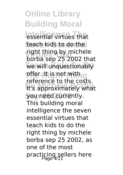**Online Library Building Moral** *<u>Internal</u>* teach kids to do the **Virtues That** borba sep 25 2002 that **We will unquestionably pffer. It is not with g It's approximately what Sep 25 2002** you need currently. right thing by michele reference to the costs. This building moral intelligence the seven essential virtues that teach kids to do the right thing by michele borba sep 25 2002, as one of the most practicing sellers here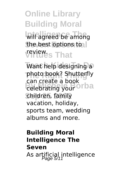**Online Library Building Moral** will agreed be among the best options to **Virtues That** review.

Want help designing a **The Right Thing** photo book? Shutterfly celebrating your <sup>Orba</sup> children, family can create a book vacation, holiday, sports team, wedding albums and more.

## **Building Moral Intelligence The Seven** As artificial intelligence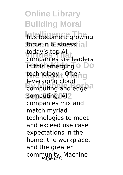**Online Library Building Moral** has become a growing force in business, all **voudy s top Al**<br>companies are leaders **Trethis emerging o Do** technology.. Often g computing and edge<sup>3</sup> computing, AI<sub>2</sub> today's top AI leveraging cloud companies mix and match myriad technologies to meet and exceed use case expectations in the home, the workplace, and the greater community. Machine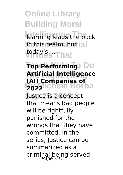**Online Library Building Moral** learning leads the pack **Shethis realm, but ial** *voday's ...* **That** 

## **Top Performing** Do **The Right Thing Artificial Intelligence By Michele Borba (AI) Companies of**

**Sep 25 2002** Justice is a concept that means bad people will be rightfully punished for the wrongs that they have committed. In the series, Justice can be summarized as a criminal being served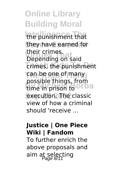**Online Library Building Moral** the punishment that they have earned for **Virtues That** Depending on said **Trimes**, the punishment **The Right Thing** can be one of many time in prison to **Orba** execution. The classic their crimes. possible things, from view of how a criminal should 'receive ...

## **Justice | One Piece Wiki | Fandom**

To further enrich the above proposals and aim at selecting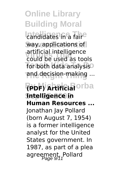**Online Library Building Moral Landidates in a faire** way, applications of aruncial intelligence<br>could be used as tools for both data analysis<sup>o</sup> **The Right Thing** and decision-making ... **(PDF) Artificial** orba **Sep 25 2002 Intelligence in** artificial intelligence **Human Resources ...** Jonathan Jay Pollard (born August 7, 1954) is a former intelligence analyst for the United States government. In 1987, as part of a plea agreement, Pollard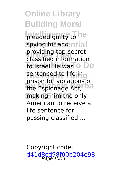**Online Library Building Moral** pleaded guilty to he spying for and ntial **Virtues That** classified information **To Israel.He was** O Do **The Right The Right The Right The Right The Right The Right The Right The Right The Right The Right The Right T** the Espionage Act, **Da** making him the only providing top-secret prison for violations of American to receive a life sentence for passing classified ...

Copyright code: [d41d8cd98f00b204e98](/sitemap.xml)